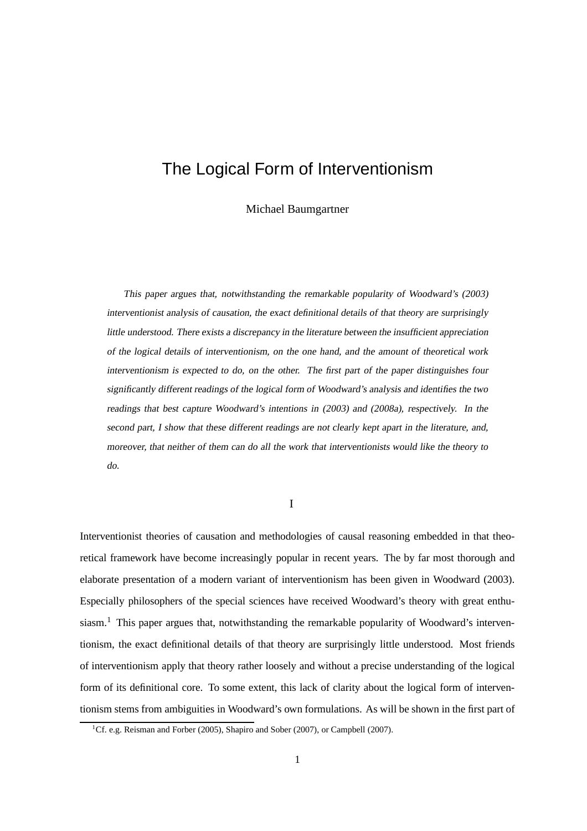# The Logical Form of Interventionism

Michael Baumgartner

This paper argues that, notwithstanding the remarkable popularity of Woodward's (2003) interventionist analysis of causation, the exact definitional details of that theory are surprisingly little understood. There exists <sup>a</sup> discrepancy in the literature between the insufficient appreciation of the logical details of interventionism, on the one hand, and the amount of theoretical work interventionism is expected to do, on the other. The first part of the paper distinguishes four significantly different readings of the logical form of Woodward's analysis and identifies the two readings that best capture Woodward's intentions in (2003) and (2008a), respectively. In the second part, <sup>I</sup> show that these different readings are not clearly kept apart in the literature, and, moreover, that neither of them can do all the work that interventionists would like the theory to do.

I

Interventionist theories of causation and methodologies of causal reasoning embedded in that theoretical framework have become increasingly popular in recent years. The by far most thorough and elaborate presentation of a modern variant of interventionism has been given in Woodward (2003). Especially philosophers of the special sciences have received Woodward's theory with great enthusiasm.<sup>1</sup> This paper argues that, notwithstanding the remarkable popularity of Woodward's interventionism, the exact definitional details of that theory are surprisingly little understood. Most friends of interventionism apply that theory rather loosely and without a precise understanding of the logical form of its definitional core. To some extent, this lack of clarity about the logical form of interventionism stems from ambiguities in Woodward's own formulations. As will be shown in the first part of

<sup>&</sup>lt;sup>1</sup>Cf. e.g. Reisman and Forber (2005), Shapiro and Sober (2007), or Campbell (2007).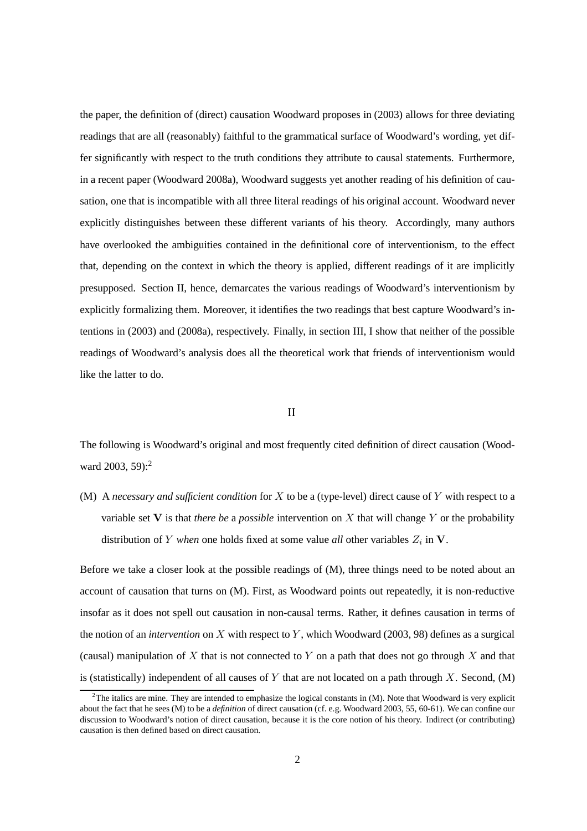the paper, the definition of (direct) causation Woodward proposes in (2003) allows for three deviating readings that are all (reasonably) faithful to the grammatical surface of Woodward's wording, yet differ significantly with respect to the truth conditions they attribute to causal statements. Furthermore, in a recent paper (Woodward 2008a), Woodward suggests yet another reading of his definition of causation, one that is incompatible with all three literal readings of his original account. Woodward never explicitly distinguishes between these different variants of his theory. Accordingly, many authors have overlooked the ambiguities contained in the definitional core of interventionism, to the effect that, depending on the context in which the theory is applied, different readings of it are implicitly presupposed. Section II, hence, demarcates the various readings of Woodward's interventionism by explicitly formalizing them. Moreover, it identifies the two readings that best capture Woodward's intentions in (2003) and (2008a), respectively. Finally, in section III, I show that neither of the possible readings of Woodward's analysis does all the theoretical work that friends of interventionism would like the latter to do.

#### II

The following is Woodward's original and most frequently cited definition of direct causation (Woodward 2003, 59):<sup>2</sup>

(M) A *necessary and sufficient condition* for X to be a (type-level) direct cause of Y with respect to a variable set  $V$  is that *there be* a *possible* intervention on X that will change Y or the probability distribution of Y *when* one holds fixed at some value *all* other variables  $Z_i$  in V.

Before we take a closer look at the possible readings of (M), three things need to be noted about an account of causation that turns on (M). First, as Woodward points out repeatedly, it is non-reductive insofar as it does not spell out causation in non-causal terms. Rather, it defines causation in terms of the notion of an *intervention* on X with respect to Y , which Woodward (2003, 98) defines as a surgical (causal) manipulation of X that is not connected to Y on a path that does not go through X and that is (statistically) independent of all causes of Y that are not located on a path through X. Second,  $(M)$ 

 $^{2}$ The italics are mine. They are intended to emphasize the logical constants in (M). Note that Woodward is very explicit about the fact that he sees (M) to be a *definition* of direct causation (cf. e.g. Woodward 2003, 55, 60-61). We can confine our discussion to Woodward's notion of direct causation, because it is the core notion of his theory. Indirect (or contributing) causation is then defined based on direct causation.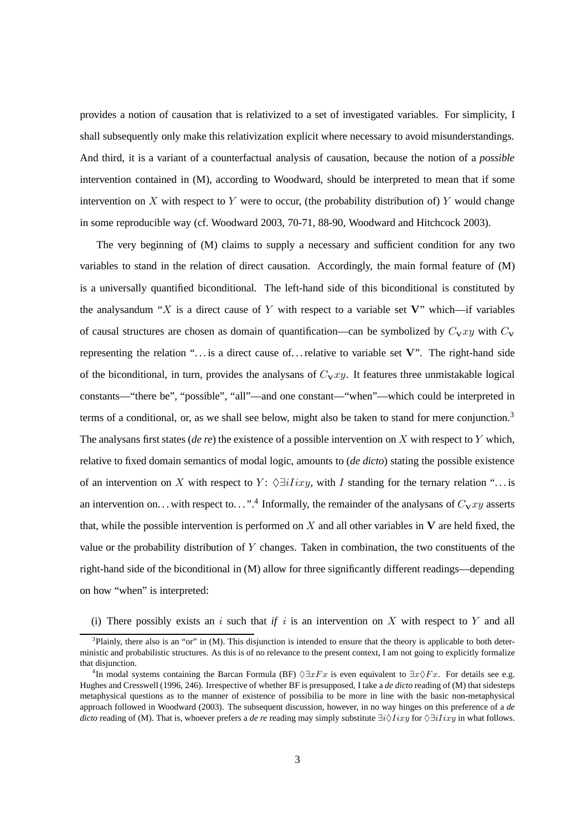provides a notion of causation that is relativized to a set of investigated variables. For simplicity, I shall subsequently only make this relativization explicit where necessary to avoid misunderstandings. And third, it is a variant of a counterfactual analysis of causation, because the notion of a *possible* intervention contained in (M), according to Woodward, should be interpreted to mean that if some intervention on X with respect to Y were to occur, (the probability distribution of) Y would change in some reproducible way (cf. Woodward 2003, 70-71, 88-90, Woodward and Hitchcock 2003).

The very beginning of (M) claims to supply a necessary and sufficient condition for any two variables to stand in the relation of direct causation. Accordingly, the main formal feature of (M) is a universally quantified biconditional. The left-hand side of this biconditional is constituted by the analysandum "X is a direct cause of Y with respect to a variable set  $V$ " which—if variables of causal structures are chosen as domain of quantification—can be symbolized by  $C_{\mathbf{v}}xy$  with  $C_{\mathbf{v}}$ representing the relation " $\dots$  is a direct cause of... relative to variable set V". The right-hand side of the biconditional, in turn, provides the analysans of  $C_Vxy$ . It features three unmistakable logical constants—"there be", "possible", "all"—and one constant—"when"—which could be interpreted in terms of a conditional, or, as we shall see below, might also be taken to stand for mere conjunction.<sup>3</sup> The analysans first states (*de re*) the existence of a possible intervention on X with respect to Y which, relative to fixed domain semantics of modal logic, amounts to (*de dicto*) stating the possible existence of an intervention on X with respect to Y:  $\Diamond \exists i Iixy$ , with I standing for the ternary relation "... is an intervention on... with respect to...".<sup>4</sup> Informally, the remainder of the analysans of  $C_{V}xy$  asserts that, while the possible intervention is performed on  $X$  and all other variables in  $V$  are held fixed, the value or the probability distribution of Y changes. Taken in combination, the two constituents of the right-hand side of the biconditional in (M) allow for three significantly different readings—depending on how "when" is interpreted:

(i) There possibly exists an i such that if i is an intervention on X with respect to Y and all

 $3$ Plainly, there also is an "or" in (M). This disjunction is intended to ensure that the theory is applicable to both deterministic and probabilistic structures. As this is of no relevance to the present context, I am not going to explicitly formalize that disjunction.

<sup>&</sup>lt;sup>4</sup>In modal systems containing the Barcan Formula (BF)  $\Diamond \exists xFx$  is even equivalent to  $\exists x \Diamond Fx$ . For details see e.g. Hughes and Cresswell (1996, 246). Irrespective of whether BF is presupposed, I take a *de dicto* reading of (M) that sidesteps metaphysical questions as to the manner of existence of possibilia to be more in line with the basic non-metaphysical approach followed in Woodward (2003). The subsequent discussion, however, in no way hinges on this preference of a *de dicto* reading of (M). That is, whoever prefers a *de re* reading may simply substitute ∃*i* $\Diamond Iixy$  for  $\Diamond \exists iIixy$  in what follows.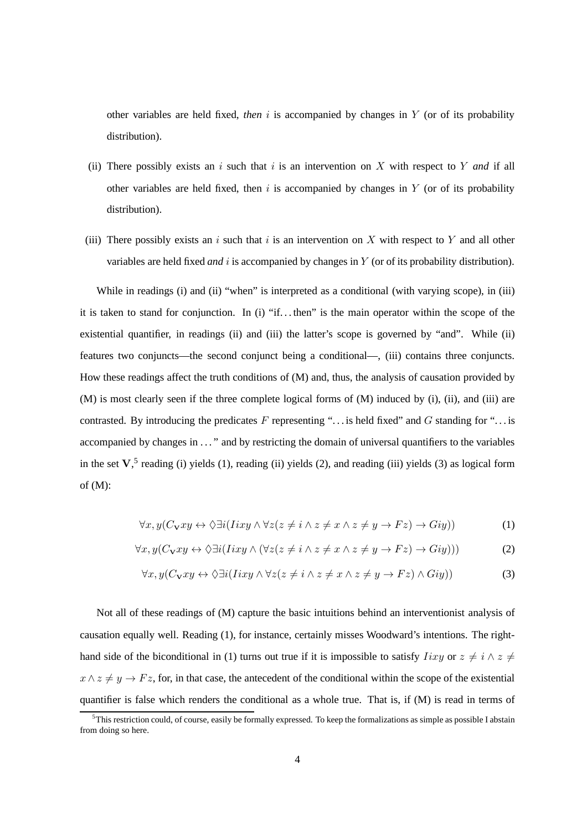other variables are held fixed, *then* i is accompanied by changes in Y (or of its probability distribution).

- (ii) There possibly exists an  $i$  such that  $i$  is an intervention on  $X$  with respect to  $Y$  *and* if all other variables are held fixed, then  $i$  is accompanied by changes in  $Y$  (or of its probability distribution).
- (iii) There possibly exists an i such that i is an intervention on X with respect to Y and all other variables are held fixed *and* i is accompanied by changes in Y (or of its probability distribution).

While in readings (i) and (ii) "when" is interpreted as a conditional (with varying scope), in (iii) it is taken to stand for conjunction. In (i) "if. . . then" is the main operator within the scope of the existential quantifier, in readings (ii) and (iii) the latter's scope is governed by "and". While (ii) features two conjuncts—the second conjunct being a conditional—, (iii) contains three conjuncts. How these readings affect the truth conditions of (M) and, thus, the analysis of causation provided by (M) is most clearly seen if the three complete logical forms of (M) induced by (i), (ii), and (iii) are contrasted. By introducing the predicates  $F$  representing "... is held fixed" and  $G$  standing for "... is accompanied by changes in ..." and by restricting the domain of universal quantifiers to the variables in the set  $V$ ,<sup>5</sup> reading (i) yields (1), reading (ii) yields (2), and reading (iii) yields (3) as logical form of (M):

$$
\forall x, y (C_{\mathbf{V}} xy \leftrightarrow \Diamond \exists i (Iixy \land \forall z (z \neq i \land z \neq x \land z \neq y \to Fz) \to Giy))
$$
(1)

$$
\forall x, y (C_{\mathbf{v}} xy \leftrightarrow \Diamond \exists i (Iixy \land (\forall z (z \neq i \land z \neq x \land z \neq y \rightarrow Fz) \rightarrow Giy)))
$$
 (2)

$$
\forall x, y (C_{\mathbf{V}} xy \leftrightarrow \Diamond \exists i (Iixy \land \forall z (z \neq i \land z \neq x \land z \neq y \to Fz) \land Giy))
$$
(3)

Not all of these readings of (M) capture the basic intuitions behind an interventionist analysis of causation equally well. Reading (1), for instance, certainly misses Woodward's intentions. The righthand side of the biconditional in (1) turns out true if it is impossible to satisfy  $Iixy$  or  $z \neq i \land z \neq j$  $x \wedge z \neq y \rightarrow Fz$ , for, in that case, the antecedent of the conditional within the scope of the existential quantifier is false which renders the conditional as a whole true. That is, if (M) is read in terms of

 $5$ This restriction could, of course, easily be formally expressed. To keep the formalizations as simple as possible I abstain from doing so here.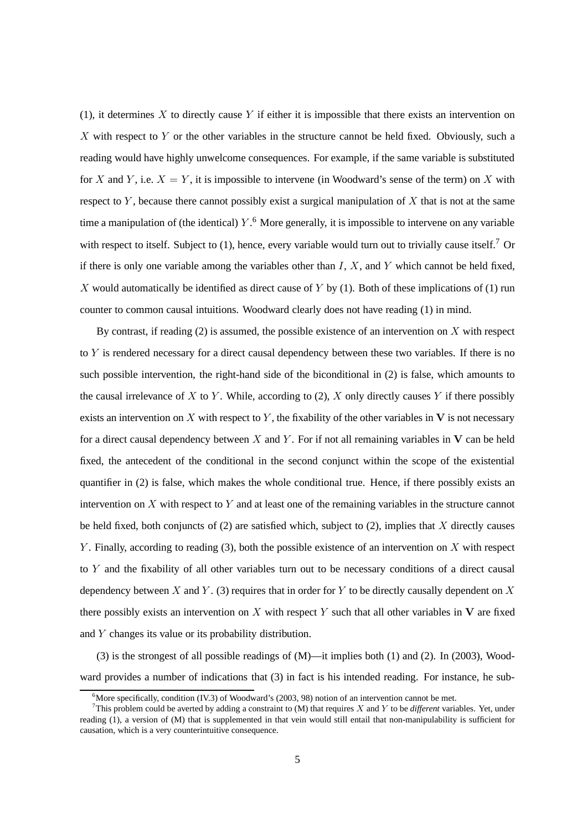(1), it determines X to directly cause Y if either it is impossible that there exists an intervention on X with respect to Y or the other variables in the structure cannot be held fixed. Obviously, such a reading would have highly unwelcome consequences. For example, if the same variable is substituted for X and Y, i.e.  $X = Y$ , it is impossible to intervene (in Woodward's sense of the term) on X with respect to  $Y$ , because there cannot possibly exist a surgical manipulation of  $X$  that is not at the same time a manipulation of (the identical) Y.<sup>6</sup> More generally, it is impossible to intervene on any variable with respect to itself. Subject to  $(1)$ , hence, every variable would turn out to trivially cause itself.<sup>7</sup> Or if there is only one variable among the variables other than  $I, X$ , and Y which cannot be held fixed, X would automatically be identified as direct cause of Y by  $(1)$ . Both of these implications of  $(1)$  run counter to common causal intuitions. Woodward clearly does not have reading (1) in mind.

By contrast, if reading (2) is assumed, the possible existence of an intervention on  $X$  with respect to  $Y$  is rendered necessary for a direct causal dependency between these two variables. If there is no such possible intervention, the right-hand side of the biconditional in (2) is false, which amounts to the causal irrelevance of X to Y. While, according to (2), X only directly causes Y if there possibly exists an intervention on X with respect to Y, the fixability of the other variables in V is not necessary for a direct causal dependency between X and Y. For if not all remaining variables in  $V$  can be held fixed, the antecedent of the conditional in the second conjunct within the scope of the existential quantifier in (2) is false, which makes the whole conditional true. Hence, if there possibly exists an intervention on X with respect to Y and at least one of the remaining variables in the structure cannot be held fixed, both conjuncts of  $(2)$  are satisfied which, subject to  $(2)$ , implies that X directly causes Y. Finally, according to reading (3), both the possible existence of an intervention on  $X$  with respect to  $Y$  and the fixability of all other variables turn out to be necessary conditions of a direct causal dependency between X and Y. (3) requires that in order for Y to be directly causally dependent on X there possibly exists an intervention on  $X$  with respect  $Y$  such that all other variables in  $V$  are fixed and Y changes its value or its probability distribution.

(3) is the strongest of all possible readings of (M)—it implies both (1) and (2). In (2003), Woodward provides a number of indications that (3) in fact is his intended reading. For instance, he sub-

<sup>&</sup>lt;sup>6</sup>More specifically, condition (IV.3) of Woodward's (2003, 98) notion of an intervention cannot be met.

<sup>&</sup>lt;sup>7</sup>This problem could be averted by adding a constraint to (M) that requires X and Y to be *different* variables. Yet, under reading (1), a version of (M) that is supplemented in that vein would still entail that non-manipulability is sufficient for causation, which is a very counterintuitive consequence.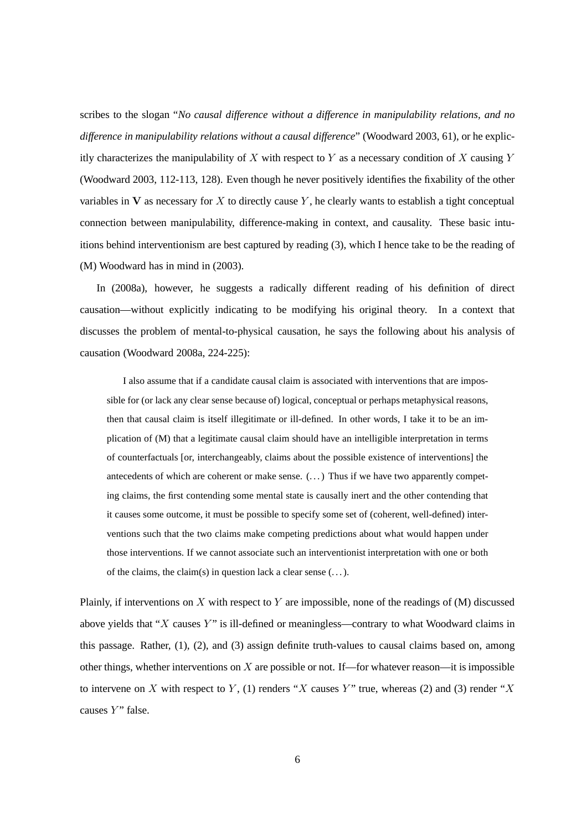scribes to the slogan "*No causal difference without a difference in manipulability relations, and no difference in manipulability relations without a causal difference*" (Woodward 2003, 61), or he explicitly characterizes the manipulability of X with respect to Y as a necessary condition of X causing Y (Woodward 2003, 112-113, 128). Even though he never positively identifies the fixability of the other variables in V as necessary for X to directly cause Y, he clearly wants to establish a tight conceptual connection between manipulability, difference-making in context, and causality. These basic intuitions behind interventionism are best captured by reading (3), which I hence take to be the reading of (M) Woodward has in mind in (2003).

In (2008a), however, he suggests a radically different reading of his definition of direct causation—without explicitly indicating to be modifying his original theory. In a context that discusses the problem of mental-to-physical causation, he says the following about his analysis of causation (Woodward 2008a, 224-225):

I also assume that if a candidate causal claim is associated with interventions that are impossible for (or lack any clear sense because of) logical, conceptual or perhaps metaphysical reasons, then that causal claim is itself illegitimate or ill-defined. In other words, I take it to be an implication of (M) that a legitimate causal claim should have an intelligible interpretation in terms of counterfactuals [or, interchangeably, claims about the possible existence of interventions] the antecedents of which are coherent or make sense.  $(\ldots)$  Thus if we have two apparently competing claims, the first contending some mental state is causally inert and the other contending that it causes some outcome, it must be possible to specify some set of (coherent, well-defined) interventions such that the two claims make competing predictions about what would happen under those interventions. If we cannot associate such an interventionist interpretation with one or both of the claims, the claim(s) in question lack a clear sense  $(\dots)$ .

Plainly, if interventions on X with respect to Y are impossible, none of the readings of  $(M)$  discussed above yields that "X causes Y" is ill-defined or meaningless—contrary to what Woodward claims in this passage. Rather, (1), (2), and (3) assign definite truth-values to causal claims based on, among other things, whether interventions on  $X$  are possible or not. If—for whatever reason—it is impossible to intervene on X with respect to Y, (1) renders "X causes Y" true, whereas (2) and (3) render "X causes Y" false.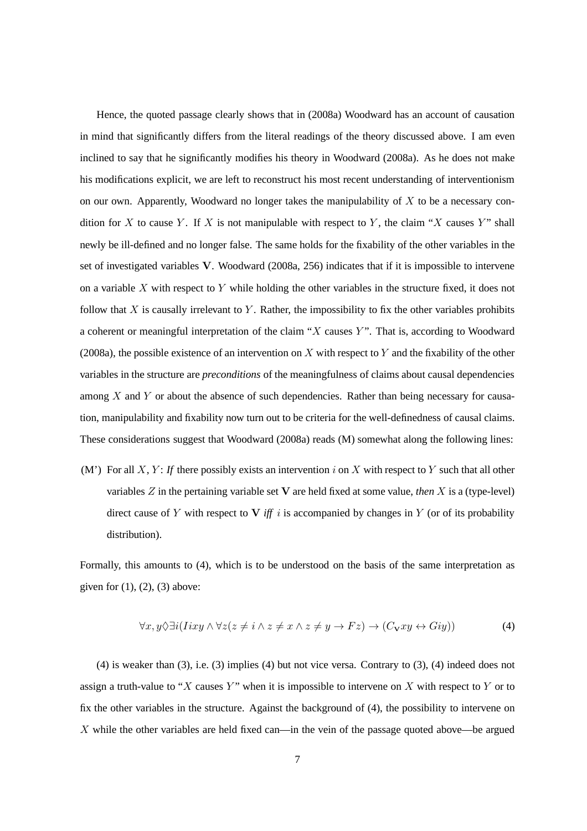Hence, the quoted passage clearly shows that in (2008a) Woodward has an account of causation in mind that significantly differs from the literal readings of the theory discussed above. I am even inclined to say that he significantly modifies his theory in Woodward (2008a). As he does not make his modifications explicit, we are left to reconstruct his most recent understanding of interventionism on our own. Apparently, Woodward no longer takes the manipulability of  $X$  to be a necessary condition for X to cause Y. If X is not manipulable with respect to Y, the claim "X causes Y" shall newly be ill-defined and no longer false. The same holds for the fixability of the other variables in the set of investigated variables V. Woodward (2008a, 256) indicates that if it is impossible to intervene on a variable X with respect to Y while holding the other variables in the structure fixed, it does not follow that X is causally irrelevant to Y. Rather, the impossibility to fix the other variables prohibits a coherent or meaningful interpretation of the claim " $X$  causes  $Y$ ". That is, according to Woodward (2008a), the possible existence of an intervention on X with respect to Y and the fixability of the other variables in the structure are *preconditions* of the meaningfulness of claims about causal dependencies among X and Y or about the absence of such dependencies. Rather than being necessary for causation, manipulability and fixability now turn out to be criteria for the well-definedness of causal claims. These considerations suggest that Woodward (2008a) reads (M) somewhat along the following lines:

(M') For all X, Y: If there possibly exists an intervention i on X with respect to Y such that all other variables Z in the pertaining variable set V are held fixed at some value, *then* X is a (type-level) direct cause of Y with respect to  $V$  *iff* i is accompanied by changes in Y (or of its probability distribution).

Formally, this amounts to (4), which is to be understood on the basis of the same interpretation as given for  $(1)$ ,  $(2)$ ,  $(3)$  above:

$$
\forall x, y \Diamond \exists i (Iixy \land \forall z (z \neq i \land z \neq x \land z \neq y \to Fz) \to (C_{\mathbf{V}}xy \leftrightarrow Giy))
$$
(4)

(4) is weaker than (3), i.e. (3) implies (4) but not vice versa. Contrary to (3), (4) indeed does not assign a truth-value to "X causes Y" when it is impossible to intervene on X with respect to Y or to fix the other variables in the structure. Against the background of (4), the possibility to intervene on X while the other variables are held fixed can—in the vein of the passage quoted above—be argued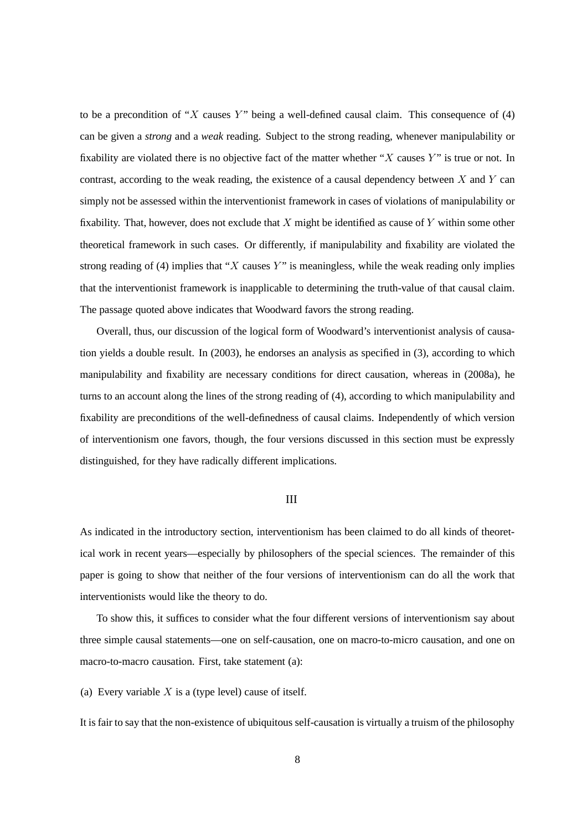to be a precondition of "X causes Y" being a well-defined causal claim. This consequence of (4) can be given a *strong* and a *weak* reading. Subject to the strong reading, whenever manipulability or fixability are violated there is no objective fact of the matter whether " $X$  causes  $Y$ " is true or not. In contrast, according to the weak reading, the existence of a causal dependency between  $X$  and  $Y$  can simply not be assessed within the interventionist framework in cases of violations of manipulability or fixability. That, however, does not exclude that  $X$  might be identified as cause of  $Y$  within some other theoretical framework in such cases. Or differently, if manipulability and fixability are violated the strong reading of (4) implies that " $X$  causes  $Y$ " is meaningless, while the weak reading only implies that the interventionist framework is inapplicable to determining the truth-value of that causal claim. The passage quoted above indicates that Woodward favors the strong reading.

Overall, thus, our discussion of the logical form of Woodward's interventionist analysis of causation yields a double result. In (2003), he endorses an analysis as specified in (3), according to which manipulability and fixability are necessary conditions for direct causation, whereas in (2008a), he turns to an account along the lines of the strong reading of (4), according to which manipulability and fixability are preconditions of the well-definedness of causal claims. Independently of which version of interventionism one favors, though, the four versions discussed in this section must be expressly distinguished, for they have radically different implications.

#### III

As indicated in the introductory section, interventionism has been claimed to do all kinds of theoretical work in recent years—especially by philosophers of the special sciences. The remainder of this paper is going to show that neither of the four versions of interventionism can do all the work that interventionists would like the theory to do.

To show this, it suffices to consider what the four different versions of interventionism say about three simple causal statements—one on self-causation, one on macro-to-micro causation, and one on macro-to-macro causation. First, take statement (a):

(a) Every variable  $X$  is a (type level) cause of itself.

It is fair to say that the non-existence of ubiquitous self-causation is virtually a truism of the philosophy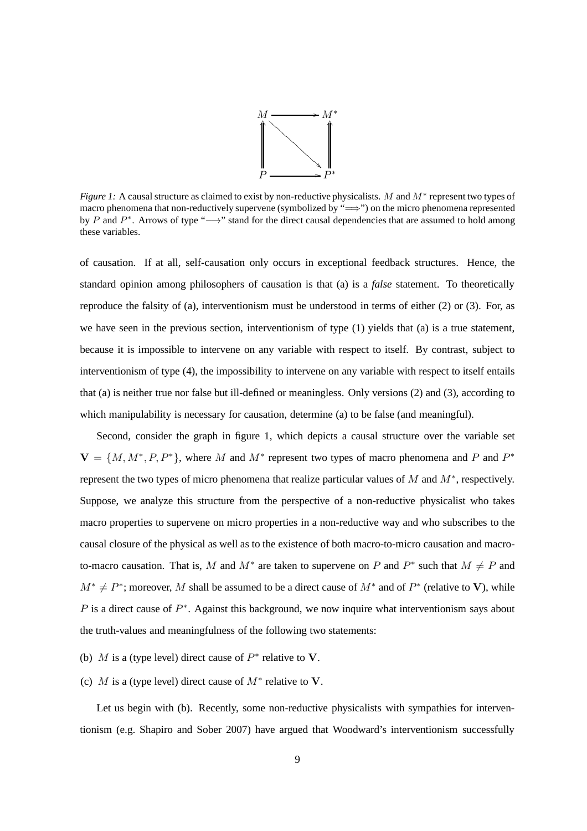

*Figure 1:* A causal structure as claimed to exist by non-reductive physicalists. M and M<sup>∗</sup> represent two types of macro phenomena that non-reductively supervene (symbolized by "⇒") on the micro phenomena represented by P and  $P^*$ . Arrows of type "→" stand for the direct causal dependencies that are assumed to hold among these variables.

of causation. If at all, self-causation only occurs in exceptional feedback structures. Hence, the standard opinion among philosophers of causation is that (a) is a *false* statement. To theoretically reproduce the falsity of (a), interventionism must be understood in terms of either (2) or (3). For, as we have seen in the previous section, interventionism of type (1) yields that (a) is a true statement, because it is impossible to intervene on any variable with respect to itself. By contrast, subject to interventionism of type (4), the impossibility to intervene on any variable with respect to itself entails that (a) is neither true nor false but ill-defined or meaningless. Only versions (2) and (3), according to which manipulability is necessary for causation, determine (a) to be false (and meaningful).

Second, consider the graph in figure 1, which depicts a causal structure over the variable set  $V = \{M, M^*, P, P^*\}$ , where M and  $M^*$  represent two types of macro phenomena and P and  $P^*$ represent the two types of micro phenomena that realize particular values of  $M$  and  $M^*$ , respectively. Suppose, we analyze this structure from the perspective of a non-reductive physicalist who takes macro properties to supervene on micro properties in a non-reductive way and who subscribes to the causal closure of the physical as well as to the existence of both macro-to-micro causation and macroto-macro causation. That is, M and  $M^*$  are taken to supervene on P and  $P^*$  such that  $M \neq P$  and  $M^* \neq P^*$ ; moreover, M shall be assumed to be a direct cause of  $M^*$  and of  $P^*$  (relative to V), while P is a direct cause of  $P^*$ . Against this background, we now inquire what interventionism says about the truth-values and meaningfulness of the following two statements:

- (b) M is a (type level) direct cause of  $P^*$  relative to V.
- (c) M is a (type level) direct cause of  $M^*$  relative to V.

Let us begin with (b). Recently, some non-reductive physicalists with sympathies for interventionism (e.g. Shapiro and Sober 2007) have argued that Woodward's interventionism successfully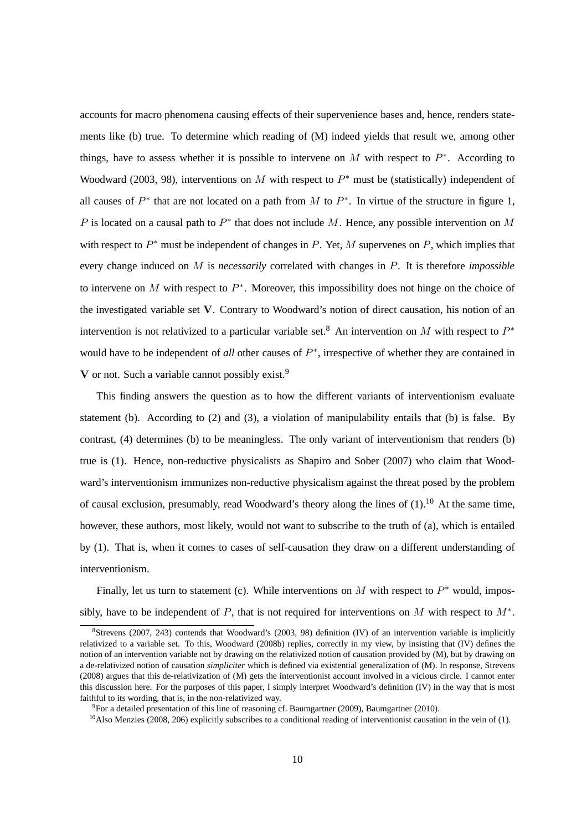accounts for macro phenomena causing effects of their supervenience bases and, hence, renders statements like (b) true. To determine which reading of (M) indeed yields that result we, among other things, have to assess whether it is possible to intervene on M with respect to  $P^*$ . According to Woodward (2003, 98), interventions on M with respect to  $P^*$  must be (statistically) independent of all causes of  $P^*$  that are not located on a path from M to  $P^*$ . In virtue of the structure in figure 1, P is located on a causal path to  $P^*$  that does not include M. Hence, any possible intervention on M with respect to  $P^*$  must be independent of changes in P. Yet, M supervenes on P, which implies that every change induced on M is *necessarily* correlated with changes in P. It is therefore *impossible* to intervene on M with respect to  $P^*$ . Moreover, this impossibility does not hinge on the choice of the investigated variable set V. Contrary to Woodward's notion of direct causation, his notion of an intervention is not relativized to a particular variable set.<sup>8</sup> An intervention on M with respect to  $P^*$ would have to be independent of *all* other causes of  $P^*$ , irrespective of whether they are contained in V or not. Such a variable cannot possibly exist.<sup>9</sup>

This finding answers the question as to how the different variants of interventionism evaluate statement (b). According to  $(2)$  and  $(3)$ , a violation of manipulability entails that (b) is false. By contrast, (4) determines (b) to be meaningless. The only variant of interventionism that renders (b) true is (1). Hence, non-reductive physicalists as Shapiro and Sober (2007) who claim that Woodward's interventionism immunizes non-reductive physicalism against the threat posed by the problem of causal exclusion, presumably, read Woodward's theory along the lines of  $(1)$ , <sup>10</sup> At the same time, however, these authors, most likely, would not want to subscribe to the truth of (a), which is entailed by (1). That is, when it comes to cases of self-causation they draw on a different understanding of interventionism.

Finally, let us turn to statement (c). While interventions on M with respect to  $P^*$  would, impossibly, have to be independent of P, that is not required for interventions on M with respect to  $M^*$ .

<sup>8</sup> Strevens (2007, 243) contends that Woodward's (2003, 98) definition (IV) of an intervention variable is implicitly relativized to a variable set. To this, Woodward (2008b) replies, correctly in my view, by insisting that (IV) defines the notion of an intervention variable not by drawing on the relativized notion of causation provided by (M), but by drawing on a de-relativized notion of causation *simpliciter* which is defined via existential generalization of (M). In response, Strevens (2008) argues that this de-relativization of (M) gets the interventionist account involved in a vicious circle. I cannot enter this discussion here. For the purposes of this paper, I simply interpret Woodward's definition (IV) in the way that is most faithful to its wording, that is, in the non-relativized way.

 $9^9$ For a detailed presentation of this line of reasoning cf. Baumgartner (2009), Baumgartner (2010).

 $^{10}$ Also Menzies (2008, 206) explicitly subscribes to a conditional reading of interventionist causation in the vein of (1).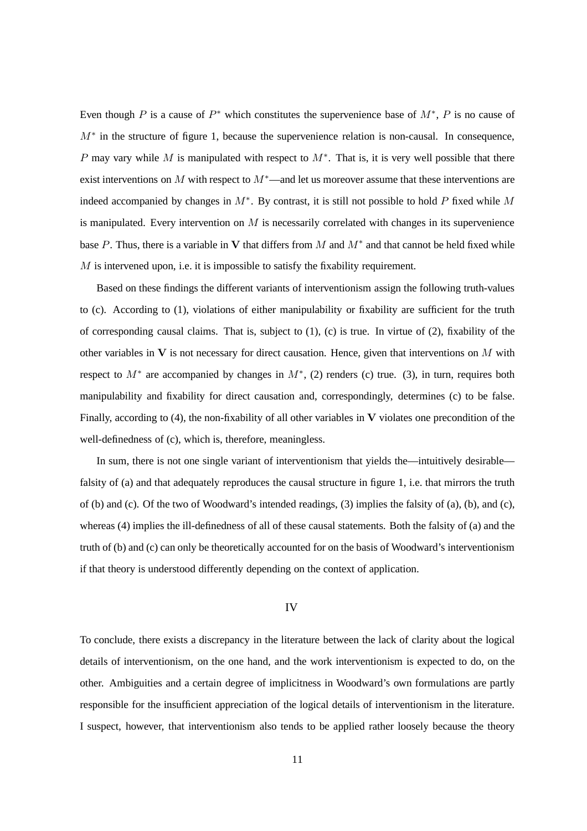Even though P is a cause of  $P^*$  which constitutes the supervenience base of  $M^*$ , P is no cause of  $M^*$  in the structure of figure 1, because the supervenience relation is non-causal. In consequence, P may vary while M is manipulated with respect to  $M^*$ . That is, it is very well possible that there exist interventions on M with respect to  $M^*$ —and let us moreover assume that these interventions are indeed accompanied by changes in  $M^*$ . By contrast, it is still not possible to hold P fixed while M is manipulated. Every intervention on  $M$  is necessarily correlated with changes in its supervenience base P. Thus, there is a variable in V that differs from M and  $M^*$  and that cannot be held fixed while  $M$  is intervened upon, i.e. it is impossible to satisfy the fixability requirement.

Based on these findings the different variants of interventionism assign the following truth-values to (c). According to (1), violations of either manipulability or fixability are sufficient for the truth of corresponding causal claims. That is, subject to (1), (c) is true. In virtue of (2), fixability of the other variables in  $V$  is not necessary for direct causation. Hence, given that interventions on  $M$  with respect to  $M^*$  are accompanied by changes in  $M^*$ , (2) renders (c) true. (3), in turn, requires both manipulability and fixability for direct causation and, correspondingly, determines (c) to be false. Finally, according to  $(4)$ , the non-fixability of all other variables in V violates one precondition of the well-definedness of (c), which is, therefore, meaningless.

In sum, there is not one single variant of interventionism that yields the—intuitively desirable falsity of (a) and that adequately reproduces the causal structure in figure 1, i.e. that mirrors the truth of (b) and (c). Of the two of Woodward's intended readings, (3) implies the falsity of (a), (b), and (c), whereas (4) implies the ill-definedness of all of these causal statements. Both the falsity of (a) and the truth of (b) and (c) can only be theoretically accounted for on the basis of Woodward's interventionism if that theory is understood differently depending on the context of application.

### IV

To conclude, there exists a discrepancy in the literature between the lack of clarity about the logical details of interventionism, on the one hand, and the work interventionism is expected to do, on the other. Ambiguities and a certain degree of implicitness in Woodward's own formulations are partly responsible for the insufficient appreciation of the logical details of interventionism in the literature. I suspect, however, that interventionism also tends to be applied rather loosely because the theory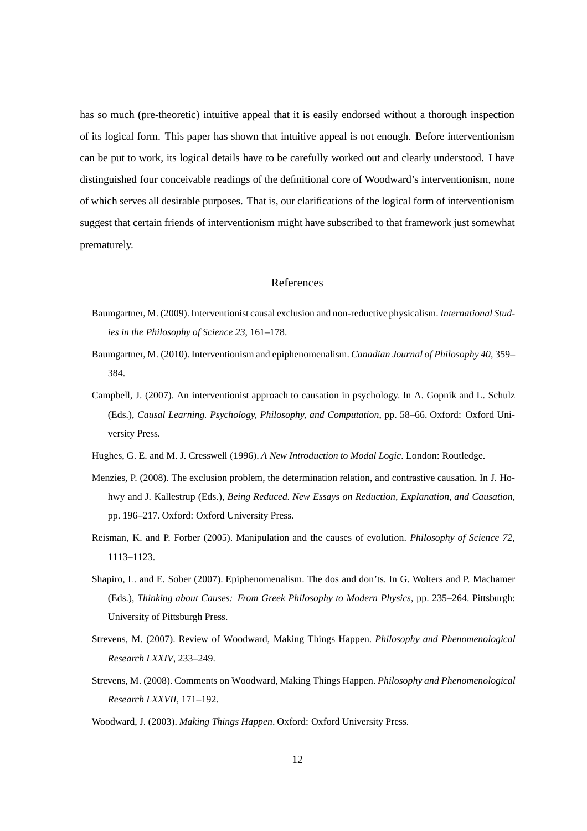has so much (pre-theoretic) intuitive appeal that it is easily endorsed without a thorough inspection of its logical form. This paper has shown that intuitive appeal is not enough. Before interventionism can be put to work, its logical details have to be carefully worked out and clearly understood. I have distinguished four conceivable readings of the definitional core of Woodward's interventionism, none of which serves all desirable purposes. That is, our clarifications of the logical form of interventionism suggest that certain friends of interventionism might have subscribed to that framework just somewhat prematurely.

## References

- Baumgartner, M. (2009). Interventionist causal exclusion and non-reductive physicalism. *International Studies in the Philosophy of Science 23*, 161–178.
- Baumgartner, M. (2010). Interventionism and epiphenomenalism. *Canadian Journal of Philosophy 40*, 359– 384.
- Campbell, J. (2007). An interventionist approach to causation in psychology. In A. Gopnik and L. Schulz (Eds.), *Causal Learning. Psychology, Philosophy, and Computation*, pp. 58–66. Oxford: Oxford University Press.
- Hughes, G. E. and M. J. Cresswell (1996). *A New Introduction to Modal Logic*. London: Routledge.
- Menzies, P. (2008). The exclusion problem, the determination relation, and contrastive causation. In J. Hohwy and J. Kallestrup (Eds.), *Being Reduced. New Essays on Reduction, Explanation, and Causation*, pp. 196–217. Oxford: Oxford University Press.
- Reisman, K. and P. Forber (2005). Manipulation and the causes of evolution. *Philosophy of Science 72*, 1113–1123.
- Shapiro, L. and E. Sober (2007). Epiphenomenalism. The dos and don'ts. In G. Wolters and P. Machamer (Eds.), *Thinking about Causes: From Greek Philosophy to Modern Physics*, pp. 235–264. Pittsburgh: University of Pittsburgh Press.
- Strevens, M. (2007). Review of Woodward, Making Things Happen. *Philosophy and Phenomenological Research LXXIV*, 233–249.
- Strevens, M. (2008). Comments on Woodward, Making Things Happen. *Philosophy and Phenomenological Research LXXVII*, 171–192.
- Woodward, J. (2003). *Making Things Happen*. Oxford: Oxford University Press.